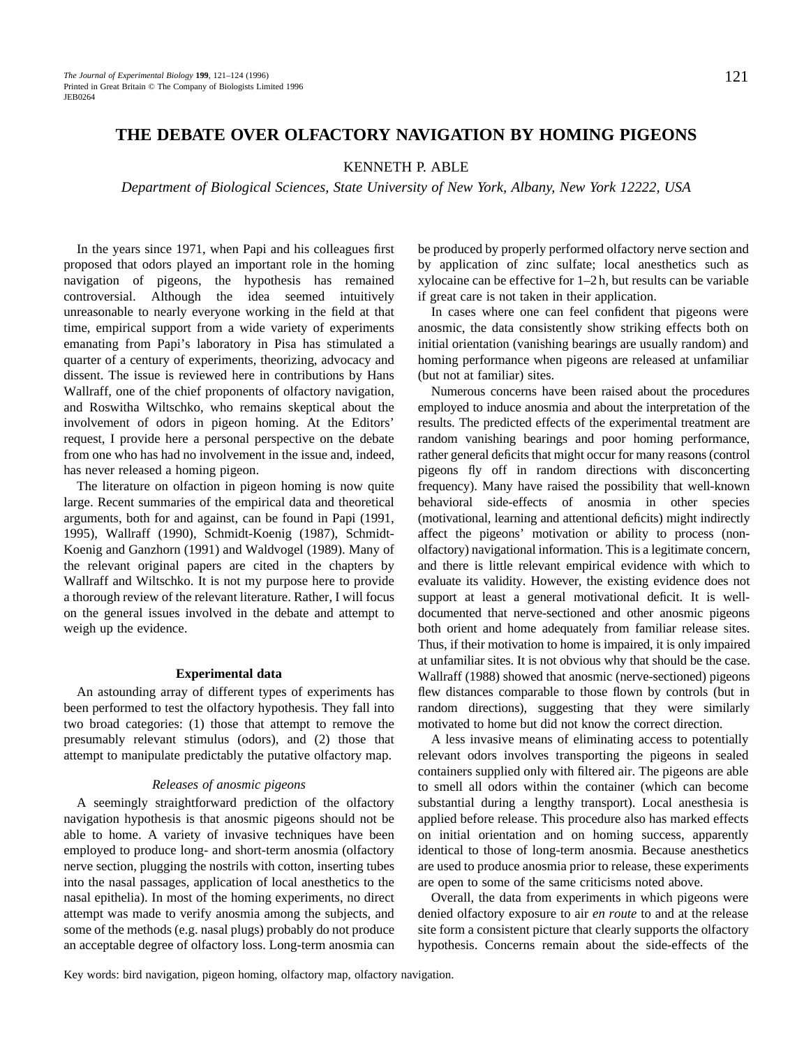# KENNETH P. ABLE

*Department of Biological Sciences, State University of New York, Albany, New York 12222, USA*

In the years since 1971, when Papi and his colleagues first proposed that odors played an important role in the homing navigation of pigeons, the hypothesis has remained controversial. Although the idea seemed intuitively unreasonable to nearly everyone working in the field at that time, empirical support from a wide variety of experiments emanating from Papi's laboratory in Pisa has stimulated a quarter of a century of experiments, theorizing, advocacy and dissent. The issue is reviewed here in contributions by Hans Wallraff, one of the chief proponents of olfactory navigation, and Roswitha Wiltschko, who remains skeptical about the involvement of odors in pigeon homing. At the Editors' request, I provide here a personal perspective on the debate from one who has had no involvement in the issue and, indeed, has never released a homing pigeon.

The literature on olfaction in pigeon homing is now quite large. Recent summaries of the empirical data and theoretical arguments, both for and against, can be found in Papi (1991, 1995), Wallraff (1990), Schmidt-Koenig (1987), Schmidt-Koenig and Ganzhorn (1991) and Waldvogel (1989). Many of the relevant original papers are cited in the chapters by Wallraff and Wiltschko. It is not my purpose here to provide a thorough review of the relevant literature. Rather, I will focus on the general issues involved in the debate and attempt to weigh up the evidence.

## **Experimental data**

An astounding array of different types of experiments has been performed to test the olfactory hypothesis. They fall into two broad categories: (1) those that attempt to remove the presumably relevant stimulus (odors), and (2) those that attempt to manipulate predictably the putative olfactory map.

## *Releases of anosmic pigeons*

A seemingly straightforward prediction of the olfactory navigation hypothesis is that anosmic pigeons should not be able to home. A variety of invasive techniques have been employed to produce long- and short-term anosmia (olfactory nerve section, plugging the nostrils with cotton, inserting tubes into the nasal passages, application of local anesthetics to the nasal epithelia). In most of the homing experiments, no direct attempt was made to verify anosmia among the subjects, and some of the methods (e.g. nasal plugs) probably do not produce an acceptable degree of olfactory loss. Long-term anosmia can be produced by properly performed olfactory nerve section and by application of zinc sulfate; local anesthetics such as xylocaine can be effective for 1–2 h, but results can be variable if great care is not taken in their application.

In cases where one can feel confident that pigeons were anosmic, the data consistently show striking effects both on initial orientation (vanishing bearings are usually random) and homing performance when pigeons are released at unfamiliar (but not at familiar) sites.

Numerous concerns have been raised about the procedures employed to induce anosmia and about the interpretation of the results. The predicted effects of the experimental treatment are random vanishing bearings and poor homing performance, rather general deficits that might occur for many reasons (control pigeons fly off in random directions with disconcerting frequency). Many have raised the possibility that well-known behavioral side-effects of anosmia in other species (motivational, learning and attentional deficits) might indirectly affect the pigeons' motivation or ability to process (nonolfactory) navigational information. This is a legitimate concern, and there is little relevant empirical evidence with which to evaluate its validity. However, the existing evidence does not support at least a general motivational deficit. It is welldocumented that nerve-sectioned and other anosmic pigeons both orient and home adequately from familiar release sites. Thus, if their motivation to home is impaired, it is only impaired at unfamiliar sites. It is not obvious why that should be the case. Wallraff (1988) showed that anosmic (nerve-sectioned) pigeons flew distances comparable to those flown by controls (but in random directions), suggesting that they were similarly motivated to home but did not know the correct direction.

A less invasive means of eliminating access to potentially relevant odors involves transporting the pigeons in sealed containers supplied only with filtered air. The pigeons are able to smell all odors within the container (which can become substantial during a lengthy transport). Local anesthesia is applied before release. This procedure also has marked effects on initial orientation and on homing success, apparently identical to those of long-term anosmia. Because anesthetics are used to produce anosmia prior to release, these experiments are open to some of the same criticisms noted above.

Overall, the data from experiments in which pigeons were denied olfactory exposure to air *en route* to and at the release site form a consistent picture that clearly supports the olfactory hypothesis. Concerns remain about the side-effects of the

Key words: bird navigation, pigeon homing, olfactory map, olfactory navigation.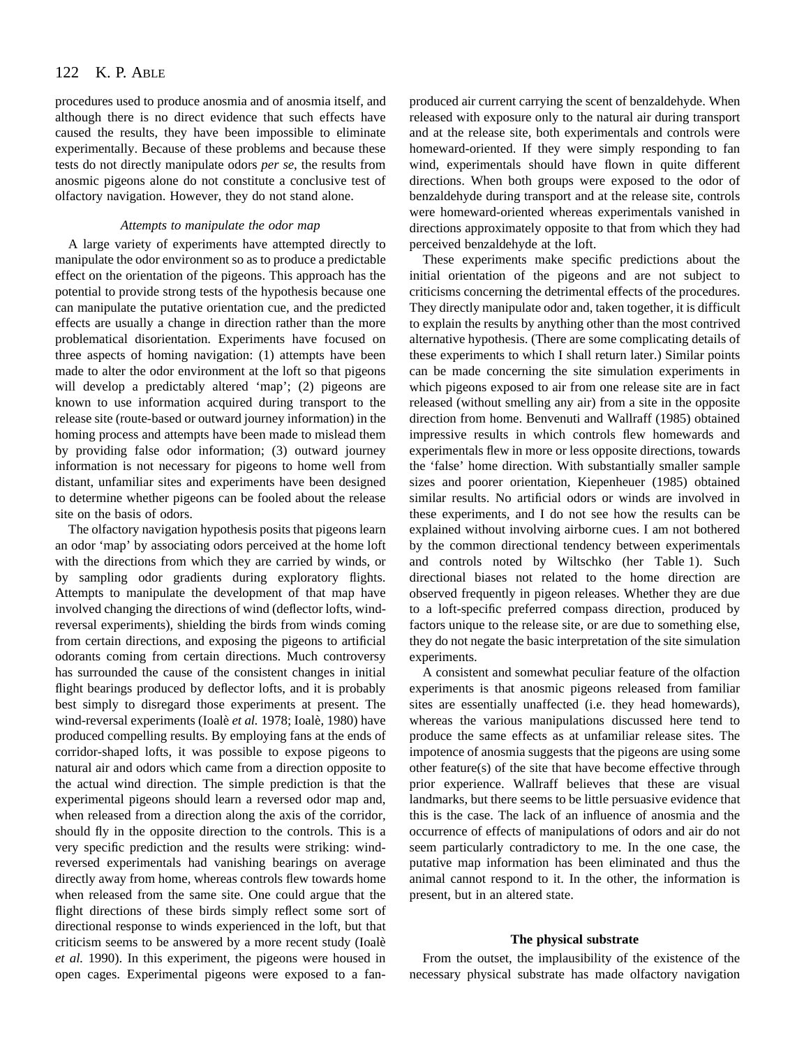#### 122 K. P. ABLE

procedures used to produce anosmia and of anosmia itself, and although there is no direct evidence that such effects have caused the results, they have been impossible to eliminate experimentally. Because of these problems and because these tests do not directly manipulate odors *per se*, the results from anosmic pigeons alone do not constitute a conclusive test of olfactory navigation. However, they do not stand alone.

## *Attempts to manipulate the odor map*

A large variety of experiments have attempted directly to manipulate the odor environment so as to produce a predictable effect on the orientation of the pigeons. This approach has the potential to provide strong tests of the hypothesis because one can manipulate the putative orientation cue, and the predicted effects are usually a change in direction rather than the more problematical disorientation. Experiments have focused on three aspects of homing navigation: (1) attempts have been made to alter the odor environment at the loft so that pigeons will develop a predictably altered 'map'; (2) pigeons are known to use information acquired during transport to the release site (route-based or outward journey information) in the homing process and attempts have been made to mislead them by providing false odor information; (3) outward journey information is not necessary for pigeons to home well from distant, unfamiliar sites and experiments have been designed to determine whether pigeons can be fooled about the release site on the basis of odors.

The olfactory navigation hypothesis posits that pigeons learn an odor 'map' by associating odors perceived at the home loft with the directions from which they are carried by winds, or by sampling odor gradients during exploratory flights. Attempts to manipulate the development of that map have involved changing the directions of wind (deflector lofts, windreversal experiments), shielding the birds from winds coming from certain directions, and exposing the pigeons to artificial odorants coming from certain directions. Much controversy has surrounded the cause of the consistent changes in initial flight bearings produced by deflector lofts, and it is probably best simply to disregard those experiments at present. The wind-reversal experiments (Ioalè *et al.* 1978; Ioalè, 1980) have produced compelling results. By employing fans at the ends of corridor-shaped lofts, it was possible to expose pigeons to natural air and odors which came from a direction opposite to the actual wind direction. The simple prediction is that the experimental pigeons should learn a reversed odor map and, when released from a direction along the axis of the corridor, should fly in the opposite direction to the controls. This is a very specific prediction and the results were striking: windreversed experimentals had vanishing bearings on average directly away from home, whereas controls flew towards home when released from the same site. One could argue that the flight directions of these birds simply reflect some sort of directional response to winds experienced in the loft, but that criticism seems to be answered by a more recent study (Ioalè *et al.* 1990). In this experiment, the pigeons were housed in open cages. Experimental pigeons were exposed to a fanproduced air current carrying the scent of benzaldehyde. When released with exposure only to the natural air during transport and at the release site, both experimentals and controls were homeward-oriented. If they were simply responding to fan wind, experimentals should have flown in quite different directions. When both groups were exposed to the odor of benzaldehyde during transport and at the release site, controls were homeward-oriented whereas experimentals vanished in directions approximately opposite to that from which they had perceived benzaldehyde at the loft.

These experiments make specific predictions about the initial orientation of the pigeons and are not subject to criticisms concerning the detrimental effects of the procedures. They directly manipulate odor and, taken together, it is difficult to explain the results by anything other than the most contrived alternative hypothesis. (There are some complicating details of these experiments to which I shall return later.) Similar points can be made concerning the site simulation experiments in which pigeons exposed to air from one release site are in fact released (without smelling any air) from a site in the opposite direction from home. Benvenuti and Wallraff (1985) obtained impressive results in which controls flew homewards and experimentals flew in more or less opposite directions, towards the 'false' home direction. With substantially smaller sample sizes and poorer orientation, Kiepenheuer (1985) obtained similar results. No artificial odors or winds are involved in these experiments, and I do not see how the results can be explained without involving airborne cues. I am not bothered by the common directional tendency between experimentals and controls noted by Wiltschko (her Table 1). Such directional biases not related to the home direction are observed frequently in pigeon releases. Whether they are due to a loft-specific preferred compass direction, produced by factors unique to the release site, or are due to something else, they do not negate the basic interpretation of the site simulation experiments.

A consistent and somewhat peculiar feature of the olfaction experiments is that anosmic pigeons released from familiar sites are essentially unaffected (i.e. they head homewards), whereas the various manipulations discussed here tend to produce the same effects as at unfamiliar release sites. The impotence of anosmia suggests that the pigeons are using some other feature(s) of the site that have become effective through prior experience. Wallraff believes that these are visual landmarks, but there seems to be little persuasive evidence that this is the case. The lack of an influence of anosmia and the occurrence of effects of manipulations of odors and air do not seem particularly contradictory to me. In the one case, the putative map information has been eliminated and thus the animal cannot respond to it. In the other, the information is present, but in an altered state.

### **The physical substrate**

From the outset, the implausibility of the existence of the necessary physical substrate has made olfactory navigation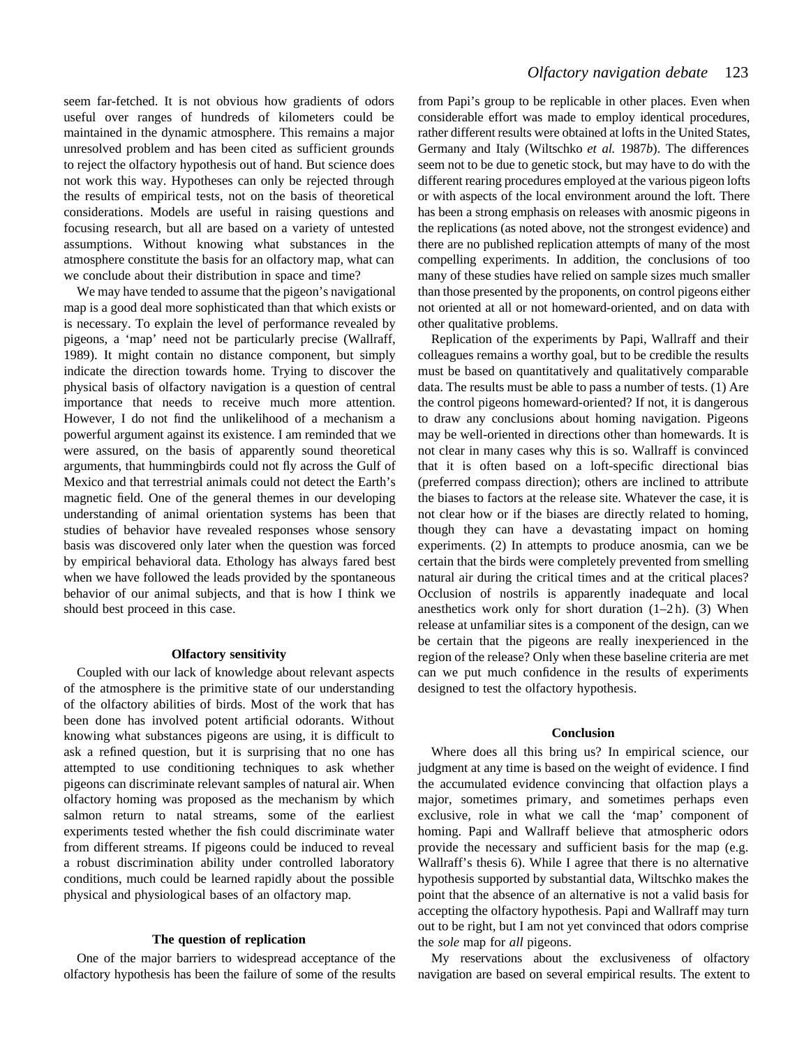seem far-fetched. It is not obvious how gradients of odors useful over ranges of hundreds of kilometers could be maintained in the dynamic atmosphere. This remains a major unresolved problem and has been cited as sufficient grounds to reject the olfactory hypothesis out of hand. But science does not work this way. Hypotheses can only be rejected through the results of empirical tests, not on the basis of theoretical considerations. Models are useful in raising questions and focusing research, but all are based on a variety of untested assumptions. Without knowing what substances in the atmosphere constitute the basis for an olfactory map, what can we conclude about their distribution in space and time?

We may have tended to assume that the pigeon's navigational map is a good deal more sophisticated than that which exists or is necessary. To explain the level of performance revealed by pigeons, a 'map' need not be particularly precise (Wallraff, 1989). It might contain no distance component, but simply indicate the direction towards home. Trying to discover the physical basis of olfactory navigation is a question of central importance that needs to receive much more attention. However, I do not find the unlikelihood of a mechanism a powerful argument against its existence. I am reminded that we were assured, on the basis of apparently sound theoretical arguments, that hummingbirds could not fly across the Gulf of Mexico and that terrestrial animals could not detect the Earth's magnetic field. One of the general themes in our developing understanding of animal orientation systems has been that studies of behavior have revealed responses whose sensory basis was discovered only later when the question was forced by empirical behavioral data. Ethology has always fared best when we have followed the leads provided by the spontaneous behavior of our animal subjects, and that is how I think we should best proceed in this case.

# **Olfactory sensitivity**

Coupled with our lack of knowledge about relevant aspects of the atmosphere is the primitive state of our understanding of the olfactory abilities of birds. Most of the work that has been done has involved potent artificial odorants. Without knowing what substances pigeons are using, it is difficult to ask a refined question, but it is surprising that no one has attempted to use conditioning techniques to ask whether pigeons can discriminate relevant samples of natural air. When olfactory homing was proposed as the mechanism by which salmon return to natal streams, some of the earliest experiments tested whether the fish could discriminate water from different streams. If pigeons could be induced to reveal a robust discrimination ability under controlled laboratory conditions, much could be learned rapidly about the possible physical and physiological bases of an olfactory map.

### **The question of replication**

One of the major barriers to widespread acceptance of the olfactory hypothesis has been the failure of some of the results from Papi's group to be replicable in other places. Even when considerable effort was made to employ identical procedures, rather different results were obtained at lofts in the United States, Germany and Italy (Wiltschko *et al.* 1987*b*). The differences seem not to be due to genetic stock, but may have to do with the different rearing procedures employed at the various pigeon lofts or with aspects of the local environment around the loft. There has been a strong emphasis on releases with anosmic pigeons in the replications (as noted above, not the strongest evidence) and there are no published replication attempts of many of the most compelling experiments. In addition, the conclusions of too many of these studies have relied on sample sizes much smaller than those presented by the proponents, on control pigeons either not oriented at all or not homeward-oriented, and on data with other qualitative problems.

Replication of the experiments by Papi, Wallraff and their colleagues remains a worthy goal, but to be credible the results must be based on quantitatively and qualitatively comparable data. The results must be able to pass a number of tests. (1) Are the control pigeons homeward-oriented? If not, it is dangerous to draw any conclusions about homing navigation. Pigeons may be well-oriented in directions other than homewards. It is not clear in many cases why this is so. Wallraff is convinced that it is often based on a loft-specific directional bias (preferred compass direction); others are inclined to attribute the biases to factors at the release site. Whatever the case, it is not clear how or if the biases are directly related to homing, though they can have a devastating impact on homing experiments. (2) In attempts to produce anosmia, can we be certain that the birds were completely prevented from smelling natural air during the critical times and at the critical places? Occlusion of nostrils is apparently inadequate and local anesthetics work only for short duration  $(1-2h)$ . (3) When release at unfamiliar sites is a component of the design, can we be certain that the pigeons are really inexperienced in the region of the release? Only when these baseline criteria are met can we put much confidence in the results of experiments designed to test the olfactory hypothesis.

## **Conclusion**

Where does all this bring us? In empirical science, our judgment at any time is based on the weight of evidence. I find the accumulated evidence convincing that olfaction plays a major, sometimes primary, and sometimes perhaps even exclusive, role in what we call the 'map' component of homing. Papi and Wallraff believe that atmospheric odors provide the necessary and sufficient basis for the map (e.g. Wallraff's thesis 6). While I agree that there is no alternative hypothesis supported by substantial data, Wiltschko makes the point that the absence of an alternative is not a valid basis for accepting the olfactory hypothesis. Papi and Wallraff may turn out to be right, but I am not yet convinced that odors comprise the *sole* map for *all* pigeons.

My reservations about the exclusiveness of olfactory navigation are based on several empirical results. The extent to